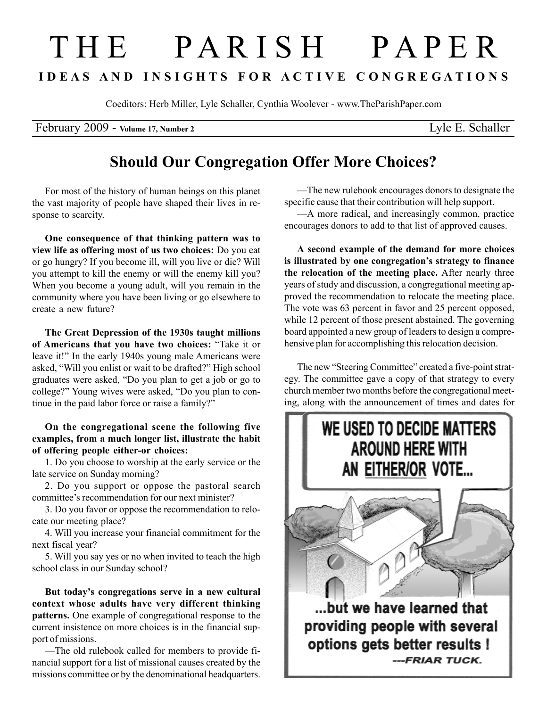## T H E P A R I S H P A P E R I D E A S A N D I N S I G H T S F O R A C T I V E C O N G R E G A T I O N S

Coeditors: Herb Miller, Lyle Schaller, Cynthia Woolever - www.TheParishPaper.com

February 2009 - Volume 17, Number 2 Lyle E. Schaller

## Should Our Congregation Offer More Choices?

For most of the history of human beings on this planet the vast majority of people have shaped their lives in response to scarcity.

One consequence of that thinking pattern was to view life as offering most of us two choices: Do you eat or go hungry? If you become ill, will you live or die? Will you attempt to kill the enemy or will the enemy kill you? When you become a young adult, will you remain in the community where you have been living or go elsewhere to create a new future?

The Great Depression of the 1930s taught millions of Americans that you have two choices: "Take it or leave it!" In the early 1940s young male Americans were asked, "Will you enlist or wait to be drafted?" High school graduates were asked, "Do you plan to get a job or go to college?" Young wives were asked, "Do you plan to continue in the paid labor force or raise a family?"

On the congregational scene the following five examples, from a much longer list, illustrate the habit of offering people either-or choices:

1. Do you choose to worship at the early service or the late service on Sunday morning?

2. Do you support or oppose the pastoral search committee's recommendation for our next minister?

3. Do you favor or oppose the recommendation to relocate our meeting place?

4. Will you increase your financial commitment for the next fiscal year?

5. Will you say yes or no when invited to teach the high school class in our Sunday school?

But today's congregations serve in a new cultural context whose adults have very different thinking patterns. One example of congregational response to the current insistence on more choices is in the financial support of missions.

—The old rulebook called for members to provide financial support for a list of missional causes created by the missions committee or by the denominational headquarters.

—The new rulebook encourages donors to designate the specific cause that their contribution will help support.

—A more radical, and increasingly common, practice encourages donors to add to that list of approved causes.

A second example of the demand for more choices is illustrated by one congregation's strategy to finance the relocation of the meeting place. After nearly three years of study and discussion, a congregational meeting approved the recommendation to relocate the meeting place. The vote was 63 percent in favor and 25 percent opposed, while 12 percent of those present abstained. The governing board appointed a new group of leaders to design a comprehensive plan for accomplishing this relocation decision.

The new "Steering Committee" created a five-point strategy. The committee gave a copy of that strategy to every church member two months before the congregational meeting, along with the announcement of times and dates for